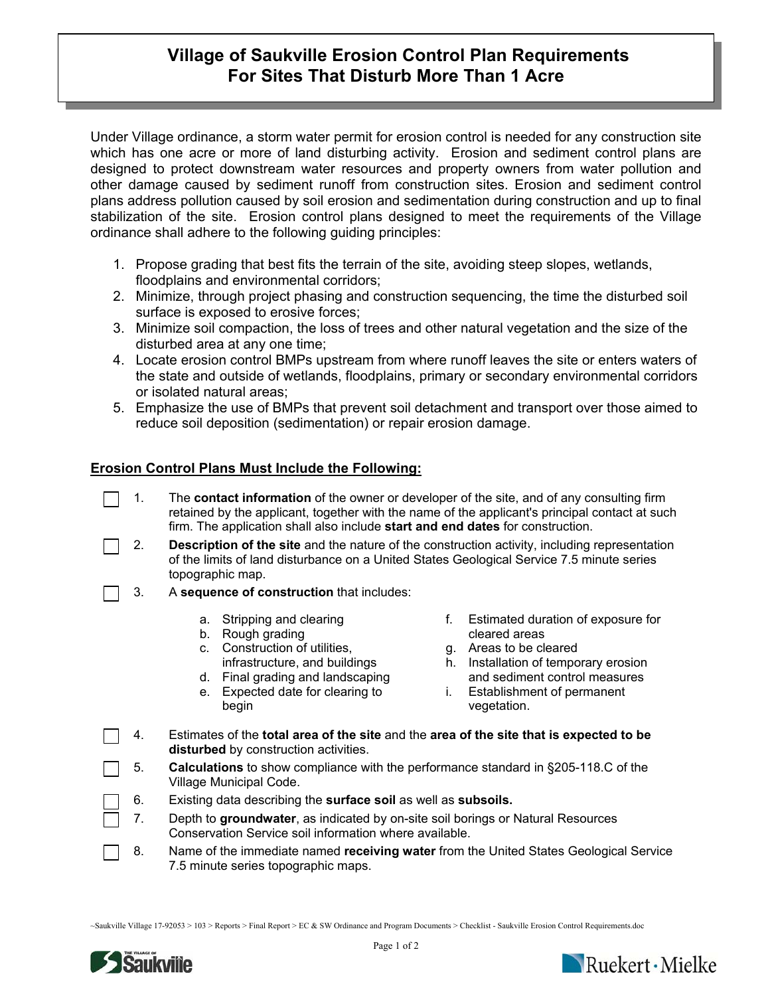## **Village of Saukville Erosion Control Plan Requirements For Sites That Disturb More Than 1 Acre**

Under Village ordinance, a storm water permit for erosion control is needed for any construction site which has one acre or more of land disturbing activity. Erosion and sediment control plans are designed to protect downstream water resources and property owners from water pollution and other damage caused by sediment runoff from construction sites. Erosion and sediment control plans address pollution caused by soil erosion and sedimentation during construction and up to final stabilization of the site. Erosion control plans designed to meet the requirements of the Village ordinance shall adhere to the following guiding principles:

- 1. Propose grading that best fits the terrain of the site, avoiding steep slopes, wetlands, floodplains and environmental corridors;
- 2. Minimize, through project phasing and construction sequencing, the time the disturbed soil surface is exposed to erosive forces;
- 3. Minimize soil compaction, the loss of trees and other natural vegetation and the size of the disturbed area at any one time;
- 4. Locate erosion control BMPs upstream from where runoff leaves the site or enters waters of the state and outside of wetlands, floodplains, primary or secondary environmental corridors or isolated natural areas;
- 5. Emphasize the use of BMPs that prevent soil detachment and transport over those aimed to reduce soil deposition (sedimentation) or repair erosion damage.

## **Erosion Control Plans Must Include the Following:**

- 1. The **contact information** of the owner or developer of the site, and of any consulting firm retained by the applicant, together with the name of the applicant's principal contact at such firm. The application shall also include **start and end dates** for construction.
- 2. **Description of the site** and the nature of the construction activity, including representation of the limits of land disturbance on a United States Geological Service 7.5 minute series topographic map.
- 3. A **sequence of construction** that includes:
	- a. Stripping and clearing
	- b. Rough grading
	- c. Construction of utilities, infrastructure, and buildings
	- d. Final grading and landscaping
	- e. Expected date for clearing to begin
- f. Estimated duration of exposure for cleared areas
- g. Areas to be cleared
- h. Installation of temporary erosion and sediment control measures
- i. Establishment of permanent vegetation.
- 4. Estimates of the **total area of the site** and the **area of the site that is expected to be disturbed** by construction activities.
	- 5. **Calculations** to show compliance with the performance standard in §205-118.C of the Village Municipal Code.
	- 6. Existing data describing the **surface soil** as well as **subsoils.**
	- 7. Depth to **groundwater**, as indicated by on-site soil borings or Natural Resources Conservation Service soil information where available.
- 8. Name of the immediate named **receiving water** from the United States Geological Service 7.5 minute series topographic maps.

~Saukville Village 17-92053 > 103 > Reports > Final Report > EC & SW Ordinance and Program Documents > Checklist - Saukville Erosion Control Requirements.doc